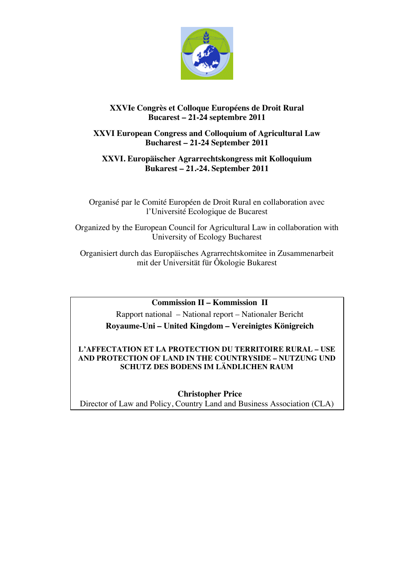

# **XXVIe Congrès et Colloque Européens de Droit Rural Bucarest – 21-24 septembre 2011**

# **XXVI European Congress and Colloquium of Agricultural Law Bucharest – 21-24 September 2011**

# **XXVI. Europäischer Agrarrechtskongress mit Kolloquium Bukarest – 21.-24. September 2011**

Organisé par le Comité Européen de Droit Rural en collaboration avec l'Université Ecologique de Bucarest

Organized by the European Council for Agricultural Law in collaboration with University of Ecology Bucharest

Organisiert durch das Europäisches Agrarrechtskomitee in Zusammenarbeit mit der Universität für Ôkologie Bukarest

# **Commission II – Kommission II**

Rapport national – National report – Nationaler Bericht **Royaume-Uni – United Kingdom – Vereinigtes Königreich**

# **L'AFFECTATION ET LA PROTECTION DU TERRITOIRE RURAL – USE AND PROTECTION OF LAND IN THE COUNTRYSIDE – NUTZUNG UND SCHUTZ DES BODENS IM LÄNDLICHEN RAUM**

**Christopher Price** Director of Law and Policy, Country Land and Business Association (CLA)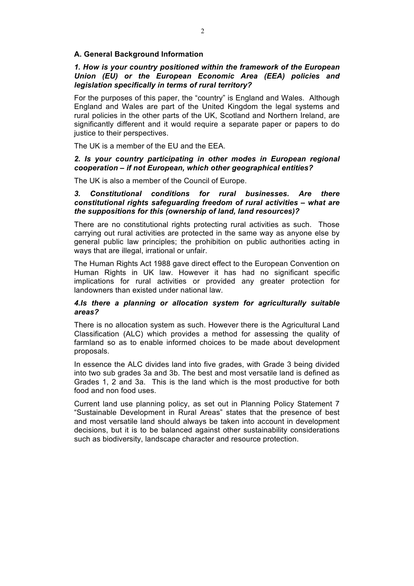# **A. General Background Information**

## *1. How is your country positioned within the framework of the European Union (EU) or the European Economic Area (EEA) policies and legislation specifically in terms of rural territory?*

For the purposes of this paper, the "country" is England and Wales. Although England and Wales are part of the United Kingdom the legal systems and rural policies in the other parts of the UK, Scotland and Northern Ireland, are significantly different and it would require a separate paper or papers to do justice to their perspectives.

The UK is a member of the EU and the EEA.

### *2. Is your country participating in other modes in European regional cooperation – if not European, which other geographical entities?*

The UK is also a member of the Council of Europe.

## *3. Constitutional conditions for rural businesses. Are there constitutional rights safeguarding freedom of rural activities – what are the suppositions for this (ownership of land, land resources)?*

There are no constitutional rights protecting rural activities as such. Those carrying out rural activities are protected in the same way as anyone else by general public law principles; the prohibition on public authorities acting in ways that are illegal, irrational or unfair.

The Human Rights Act 1988 gave direct effect to the European Convention on Human Rights in UK law. However it has had no significant specific implications for rural activities or provided any greater protection for landowners than existed under national law.

## *4.Is there a planning or allocation system for agriculturally suitable areas?*

There is no allocation system as such. However there is the Agricultural Land Classification (ALC) which provides a method for assessing the quality of farmland so as to enable informed choices to be made about development proposals.

In essence the ALC divides land into five grades, with Grade 3 being divided into two sub grades 3a and 3b. The best and most versatile land is defined as Grades 1, 2 and 3a. This is the land which is the most productive for both food and non food uses.

Current land use planning policy, as set out in Planning Policy Statement 7 "Sustainable Development in Rural Areas" states that the presence of best and most versatile land should always be taken into account in development decisions, but it is to be balanced against other sustainability considerations such as biodiversity, landscape character and resource protection.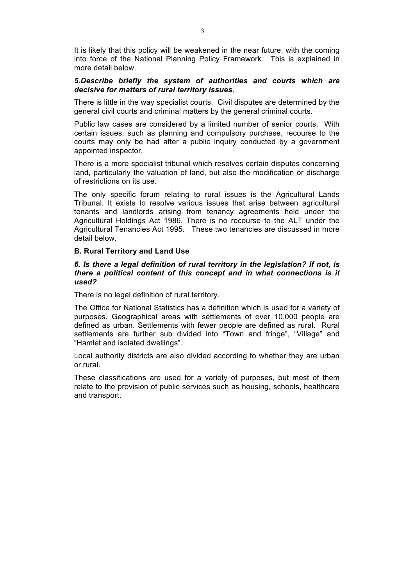It is likely that this policy will be weakened in the near future, with the coming into force of the National Planning Policy Framework. This is explained in more detail below.

## *5.Describe briefly the system of authorities and courts which are decisive for matters of rural territory issues.*

There is little in the way specialist courts. Civil disputes are determined by the general civil courts and criminal matters by the general criminal courts.

Public law cases are considered by a limited number of senior courts. With certain issues, such as planning and compulsory purchase, recourse to the courts may only be had after a public inquiry conducted by a government appointed inspector.

There is a more specialist tribunal which resolves certain disputes concerning land, particularly the valuation of land, but also the modification or discharge of restrictions on its use.

The only specific forum relating to rural issues is the Agricultural Lands Tribunal. It exists to resolve various issues that arise between agricultural tenants and landlords arising from tenancy agreements held under the Agricultural Holdings Act 1986. There is no recourse to the ALT under the Agricultural Tenancies Act 1995. These two tenancies are discussed in more detail below.

### **B. Rural Territory and Land Use**

### *6. Is there a legal definition of rural territory in the legislation? If not, is there a political content of this concept and in what connections is it used?*

There is no legal definition of rural territory.

The Office for National Statistics has a definition which is used for a variety of purposes. Geographical areas with settlements of over 10,000 people are defined as urban. Settlements with fewer people are defined as rural. Rural settlements are further sub divided into "Town and fringe", "Village" and "Hamlet and isolated dwellings".

Local authority districts are also divided according to whether they are urban or rural.

These classifications are used for a variety of purposes, but most of them relate to the provision of public services such as housing, schools, healthcare and transport.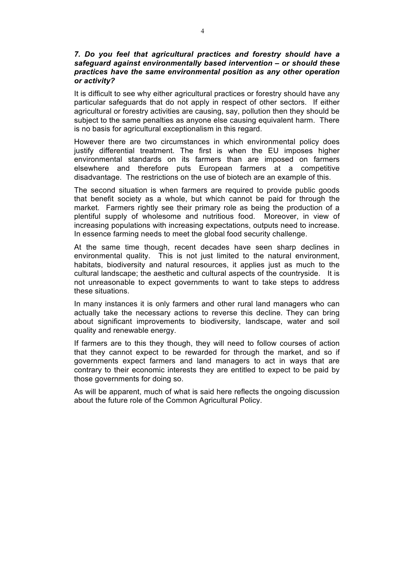### *7. Do you feel that agricultural practices and forestry should have a safeguard against environmentally based intervention – or should these practices have the same environmental position as any other operation or activity?*

It is difficult to see why either agricultural practices or forestry should have any particular safeguards that do not apply in respect of other sectors. If either agricultural or forestry activities are causing, say, pollution then they should be subject to the same penalties as anyone else causing equivalent harm. There is no basis for agricultural exceptionalism in this regard.

However there are two circumstances in which environmental policy does justify differential treatment. The first is when the EU imposes higher environmental standards on its farmers than are imposed on farmers elsewhere and therefore puts European farmers at a competitive disadvantage. The restrictions on the use of biotech are an example of this.

The second situation is when farmers are required to provide public goods that benefit society as a whole, but which cannot be paid for through the market. Farmers rightly see their primary role as being the production of a plentiful supply of wholesome and nutritious food. Moreover, in view of increasing populations with increasing expectations, outputs need to increase. In essence farming needs to meet the global food security challenge.

At the same time though, recent decades have seen sharp declines in environmental quality. This is not just limited to the natural environment, habitats, biodiversity and natural resources, it applies just as much to the cultural landscape; the aesthetic and cultural aspects of the countryside. It is not unreasonable to expect governments to want to take steps to address these situations.

In many instances it is only farmers and other rural land managers who can actually take the necessary actions to reverse this decline. They can bring about significant improvements to biodiversity, landscape, water and soil quality and renewable energy.

If farmers are to this they though, they will need to follow courses of action that they cannot expect to be rewarded for through the market, and so if governments expect farmers and land managers to act in ways that are contrary to their economic interests they are entitled to expect to be paid by those governments for doing so.

As will be apparent, much of what is said here reflects the ongoing discussion about the future role of the Common Agricultural Policy.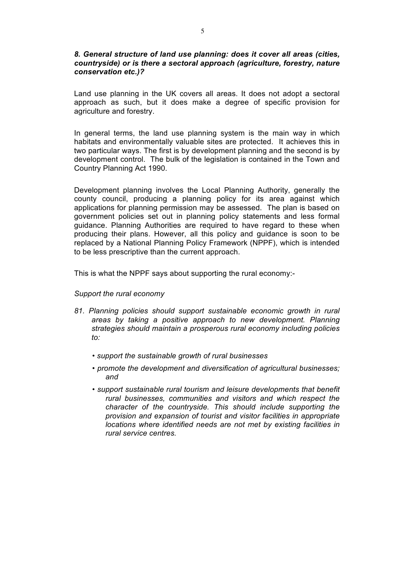### *8. General structure of land use planning: does it cover all areas (cities, countryside) or is there a sectoral approach (agriculture, forestry, nature conservation etc.)?*

Land use planning in the UK covers all areas. It does not adopt a sectoral approach as such, but it does make a degree of specific provision for agriculture and forestry.

In general terms, the land use planning system is the main way in which habitats and environmentally valuable sites are protected. It achieves this in two particular ways. The first is by development planning and the second is by development control. The bulk of the legislation is contained in the Town and Country Planning Act 1990.

Development planning involves the Local Planning Authority, generally the county council, producing a planning policy for its area against which applications for planning permission may be assessed. The plan is based on government policies set out in planning policy statements and less formal guidance. Planning Authorities are required to have regard to these when producing their plans. However, all this policy and guidance is soon to be replaced by a National Planning Policy Framework (NPPF), which is intended to be less prescriptive than the current approach.

This is what the NPPF says about supporting the rural economy:-

### *Support the rural economy*

- *81. Planning policies should support sustainable economic growth in rural areas by taking a positive approach to new development. Planning strategies should maintain a prosperous rural economy including policies to:*
	- *support the sustainable growth of rural businesses*
	- *promote the development and diversification of agricultural businesses; and*
	- *support sustainable rural tourism and leisure developments that benefit rural businesses, communities and visitors and which respect the character of the countryside. This should include supporting the provision and expansion of tourist and visitor facilities in appropriate locations where identified needs are not met by existing facilities in rural service centres.*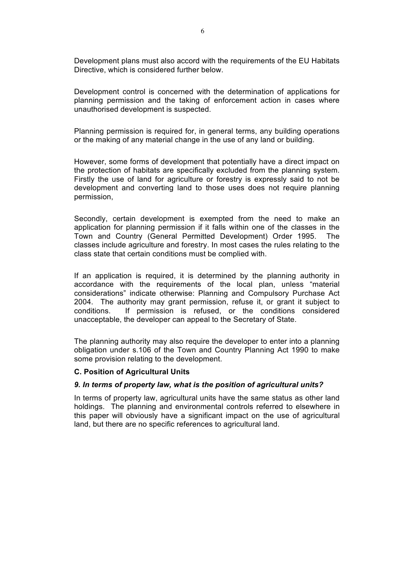Development plans must also accord with the requirements of the EU Habitats Directive, which is considered further below.

Development control is concerned with the determination of applications for planning permission and the taking of enforcement action in cases where unauthorised development is suspected.

Planning permission is required for, in general terms, any building operations or the making of any material change in the use of any land or building.

However, some forms of development that potentially have a direct impact on the protection of habitats are specifically excluded from the planning system. Firstly the use of land for agriculture or forestry is expressly said to not be development and converting land to those uses does not require planning permission,

Secondly, certain development is exempted from the need to make an application for planning permission if it falls within one of the classes in the Town and Country (General Permitted Development) Order 1995. The classes include agriculture and forestry. In most cases the rules relating to the class state that certain conditions must be complied with.

If an application is required, it is determined by the planning authority in accordance with the requirements of the local plan, unless "material considerations" indicate otherwise: Planning and Compulsory Purchase Act 2004. The authority may grant permission, refuse it, or grant it subject to conditions. If permission is refused, or the conditions considered unacceptable, the developer can appeal to the Secretary of State.

The planning authority may also require the developer to enter into a planning obligation under s.106 of the Town and Country Planning Act 1990 to make some provision relating to the development.

### **C. Position of Agricultural Units**

#### *9. In terms of property law, what is the position of agricultural units?*

In terms of property law, agricultural units have the same status as other land holdings. The planning and environmental controls referred to elsewhere in this paper will obviously have a significant impact on the use of agricultural land, but there are no specific references to agricultural land.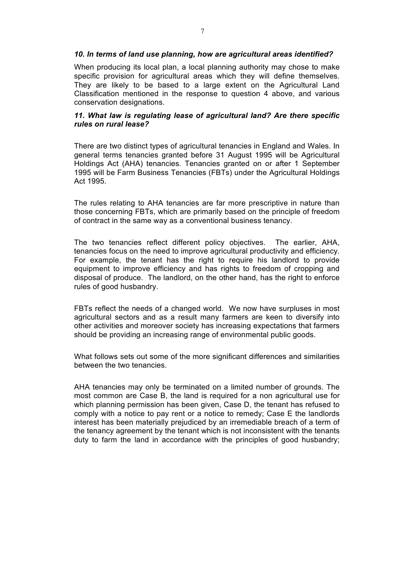### *10. In terms of land use planning, how are agricultural areas identified?*

When producing its local plan, a local planning authority may chose to make specific provision for agricultural areas which they will define themselves. They are likely to be based to a large extent on the Agricultural Land Classification mentioned in the response to question 4 above, and various conservation designations.

## *11. What law is regulating lease of agricultural land? Are there specific rules on rural lease?*

There are two distinct types of agricultural tenancies in England and Wales. In general terms tenancies granted before 31 August 1995 will be Agricultural Holdings Act (AHA) tenancies. Tenancies granted on or after 1 September 1995 will be Farm Business Tenancies (FBTs) under the Agricultural Holdings Act 1995.

The rules relating to AHA tenancies are far more prescriptive in nature than those concerning FBTs, which are primarily based on the principle of freedom of contract in the same way as a conventional business tenancy.

The two tenancies reflect different policy objectives. The earlier, AHA, tenancies focus on the need to improve agricultural productivity and efficiency. For example, the tenant has the right to require his landlord to provide equipment to improve efficiency and has rights to freedom of cropping and disposal of produce. The landlord, on the other hand, has the right to enforce rules of good husbandry.

FBTs reflect the needs of a changed world. We now have surpluses in most agricultural sectors and as a result many farmers are keen to diversify into other activities and moreover society has increasing expectations that farmers should be providing an increasing range of environmental public goods.

What follows sets out some of the more significant differences and similarities between the two tenancies.

AHA tenancies may only be terminated on a limited number of grounds. The most common are Case B, the land is required for a non agricultural use for which planning permission has been given, Case D, the tenant has refused to comply with a notice to pay rent or a notice to remedy; Case E the landlords interest has been materially prejudiced by an irremediable breach of a term of the tenancy agreement by the tenant which is not inconsistent with the tenants duty to farm the land in accordance with the principles of good husbandry;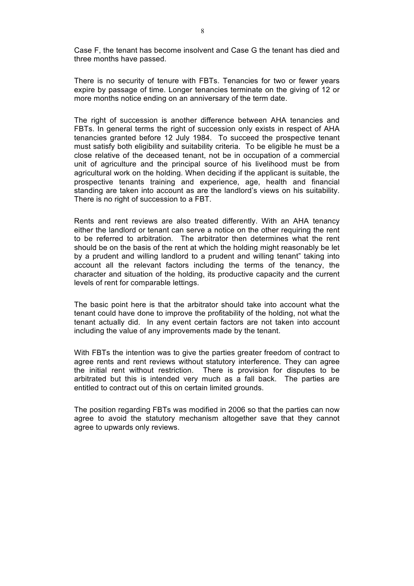Case F, the tenant has become insolvent and Case G the tenant has died and three months have passed.

There is no security of tenure with FBTs. Tenancies for two or fewer years expire by passage of time. Longer tenancies terminate on the giving of 12 or more months notice ending on an anniversary of the term date.

The right of succession is another difference between AHA tenancies and FBTs. In general terms the right of succession only exists in respect of AHA tenancies granted before 12 July 1984. To succeed the prospective tenant must satisfy both eligibility and suitability criteria. To be eligible he must be a close relative of the deceased tenant, not be in occupation of a commercial unit of agriculture and the principal source of his livelihood must be from agricultural work on the holding. When deciding if the applicant is suitable, the prospective tenants training and experience, age, health and financial standing are taken into account as are the landlord's views on his suitability. There is no right of succession to a FBT.

Rents and rent reviews are also treated differently. With an AHA tenancy either the landlord or tenant can serve a notice on the other requiring the rent to be referred to arbitration. The arbitrator then determines what the rent should be on the basis of the rent at which the holding might reasonably be let by a prudent and willing landlord to a prudent and willing tenant" taking into account all the relevant factors including the terms of the tenancy, the character and situation of the holding, its productive capacity and the current levels of rent for comparable lettings.

The basic point here is that the arbitrator should take into account what the tenant could have done to improve the profitability of the holding, not what the tenant actually did. In any event certain factors are not taken into account including the value of any improvements made by the tenant.

With FBTs the intention was to give the parties greater freedom of contract to agree rents and rent reviews without statutory interference. They can agree the initial rent without restriction. There is provision for disputes to be arbitrated but this is intended very much as a fall back. The parties are entitled to contract out of this on certain limited grounds.

The position regarding FBTs was modified in 2006 so that the parties can now agree to avoid the statutory mechanism altogether save that they cannot agree to upwards only reviews.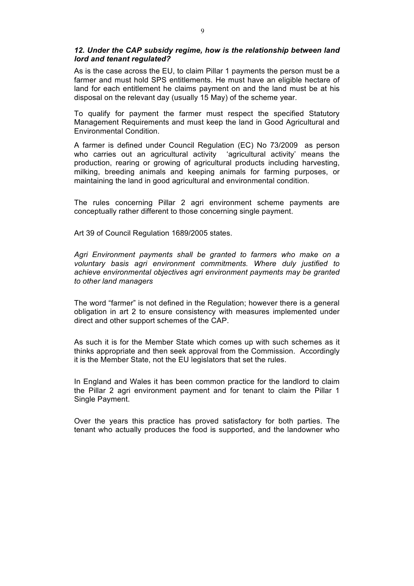### *12. Under the CAP subsidy regime, how is the relationship between land lord and tenant regulated?*

As is the case across the EU, to claim Pillar 1 payments the person must be a farmer and must hold SPS entitlements. He must have an eligible hectare of land for each entitlement he claims payment on and the land must be at his disposal on the relevant day (usually 15 May) of the scheme year.

To qualify for payment the farmer must respect the specified Statutory Management Requirements and must keep the land in Good Agricultural and Environmental Condition.

A farmer is defined under Council Regulation (EC) No 73/2009 as person who carries out an agricultural activity 'agricultural activity' means the production, rearing or growing of agricultural products including harvesting, milking, breeding animals and keeping animals for farming purposes, or maintaining the land in good agricultural and environmental condition.

The rules concerning Pillar 2 agri environment scheme payments are conceptually rather different to those concerning single payment.

Art 39 of Council Regulation 1689/2005 states.

*Agri Environment payments shall be granted to farmers who make on a voluntary basis agri environment commitments. Where duly justified to achieve environmental objectives agri environment payments may be granted to other land managers* 

The word "farmer" is not defined in the Regulation; however there is a general obligation in art 2 to ensure consistency with measures implemented under direct and other support schemes of the CAP.

As such it is for the Member State which comes up with such schemes as it thinks appropriate and then seek approval from the Commission. Accordingly it is the Member State, not the EU legislators that set the rules.

In England and Wales it has been common practice for the landlord to claim the Pillar 2 agri environment payment and for tenant to claim the Pillar 1 Single Payment.

Over the years this practice has proved satisfactory for both parties. The tenant who actually produces the food is supported, and the landowner who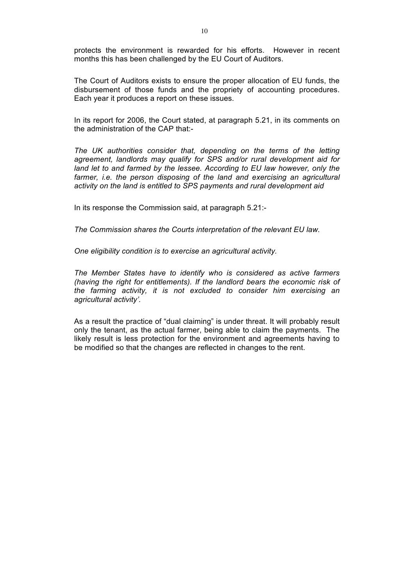protects the environment is rewarded for his efforts. However in recent months this has been challenged by the EU Court of Auditors.

The Court of Auditors exists to ensure the proper allocation of EU funds, the disbursement of those funds and the propriety of accounting procedures. Each year it produces a report on these issues.

In its report for 2006, the Court stated, at paragraph 5.21, in its comments on the administration of the CAP that:-

*The UK authorities consider that, depending on the terms of the letting agreement, landlords may qualify for SPS and/or rural development aid for land let to and farmed by the lessee. According to EU law however, only the farmer, i.e. the person disposing of the land and exercising an agricultural activity on the land is entitled to SPS payments and rural development aid* 

In its response the Commission said, at paragraph 5.21:-

*The Commission shares the Courts interpretation of the relevant EU law.* 

*One eligibility condition is to exercise an agricultural activity.*

*The Member States have to identify who is considered as active farmers (having the right for entitlements). If the landlord bears the economic risk of the farming activity, it is not excluded to consider him exercising an agricultural activity'.*

As a result the practice of "dual claiming" is under threat. It will probably result only the tenant, as the actual farmer, being able to claim the payments. The likely result is less protection for the environment and agreements having to be modified so that the changes are reflected in changes to the rent.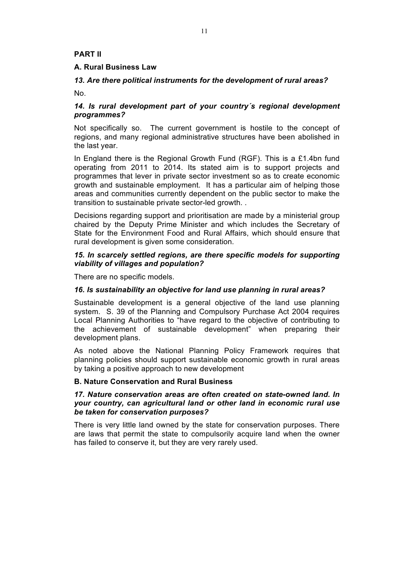# **PART II**

## **A. Rural Business Law**

# *13. Are there political instruments for the development of rural areas?*

No.

# *14. Is rural development part of your country´s regional development programmes?*

Not specifically so. The current government is hostile to the concept of regions, and many regional administrative structures have been abolished in the last year.

In England there is the Regional Growth Fund (RGF). This is a £1.4bn fund operating from 2011 to 2014. Its stated aim is to support projects and programmes that lever in private sector investment so as to create economic growth and sustainable employment. It has a particular aim of helping those areas and communities currently dependent on the public sector to make the transition to sustainable private sector-led growth. .

Decisions regarding support and prioritisation are made by a ministerial group chaired by the Deputy Prime Minister and which includes the Secretary of State for the Environment Food and Rural Affairs, which should ensure that rural development is given some consideration.

## *15. In scarcely settled regions, are there specific models for supporting viability of villages and population?*

There are no specific models.

### *16. Is sustainability an objective for land use planning in rural areas?*

Sustainable development is a general objective of the land use planning system. S. 39 of the Planning and Compulsory Purchase Act 2004 requires Local Planning Authorities to "have regard to the objective of contributing to the achievement of sustainable development" when preparing their development plans.

As noted above the National Planning Policy Framework requires that planning policies should support sustainable economic growth in rural areas by taking a positive approach to new development

### **B. Nature Conservation and Rural Business**

### *17. Nature conservation areas are often created on state-owned land. In your country, can agricultural land or other land in economic rural use be taken for conservation purposes?*

There is very little land owned by the state for conservation purposes. There are laws that permit the state to compulsorily acquire land when the owner has failed to conserve it, but they are very rarely used.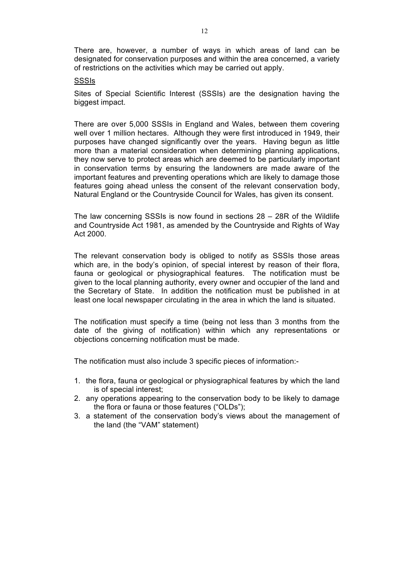There are, however, a number of ways in which areas of land can be designated for conservation purposes and within the area concerned, a variety of restrictions on the activities which may be carried out apply.

### **SSSIs**

Sites of Special Scientific Interest (SSSIs) are the designation having the biggest impact.

There are over 5,000 SSSIs in England and Wales, between them covering well over 1 million hectares. Although they were first introduced in 1949, their purposes have changed significantly over the years. Having begun as little more than a material consideration when determining planning applications, they now serve to protect areas which are deemed to be particularly important in conservation terms by ensuring the landowners are made aware of the important features and preventing operations which are likely to damage those features going ahead unless the consent of the relevant conservation body, Natural England or the Countryside Council for Wales, has given its consent.

The law concerning SSSIs is now found in sections 28 – 28R of the Wildlife and Countryside Act 1981, as amended by the Countryside and Rights of Way Act 2000.

The relevant conservation body is obliged to notify as SSSIs those areas which are, in the body's opinion, of special interest by reason of their flora, fauna or geological or physiographical features. The notification must be given to the local planning authority, every owner and occupier of the land and the Secretary of State. In addition the notification must be published in at least one local newspaper circulating in the area in which the land is situated.

The notification must specify a time (being not less than 3 months from the date of the giving of notification) within which any representations or objections concerning notification must be made.

The notification must also include 3 specific pieces of information:-

- 1. the flora, fauna or geological or physiographical features by which the land is of special interest;
- 2. any operations appearing to the conservation body to be likely to damage the flora or fauna or those features ("OLDs");
- 3. a statement of the conservation body's views about the management of the land (the "VAM" statement)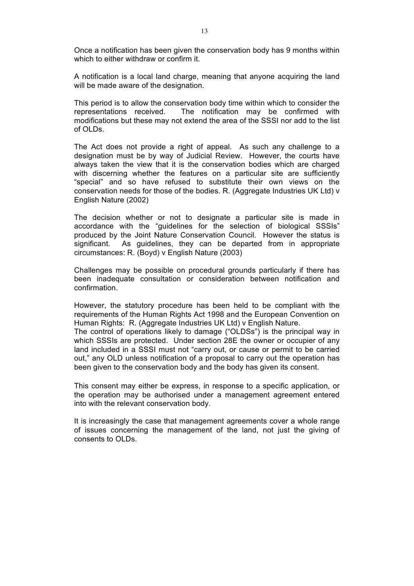Once a notification has been given the conservation body has 9 months within which to either withdraw or confirm it.

A notification is a local land charge, meaning that anyone acquiring the land will be made aware of the designation.

This period is to allow the conservation body time within which to consider the representations received. The notification may be confirmed with modifications but these may not extend the area of the SSSI nor add to the list of OLDs.

The Act does not provide a right of appeal. As such any challenge to a designation must be by way of Judicial Review. However, the courts have always taken the view that it is the conservation bodies which are charged with discerning whether the features on a particular site are sufficiently "special" and so have refused to substitute their own views on the conservation needs for those of the bodies. R. (Aggregate Industries UK Ltd) v English Nature (2002)

The decision whether or not to designate a particular site is made in accordance with the "guidelines for the selection of biological SSSIs" produced by the Joint Nature Conservation Council. However the status is significant. As guidelines, they can be departed from in appropriate circumstances: R. (Boyd) v English Nature (2003)

Challenges may be possible on procedural grounds particularly if there has been inadequate consultation or consideration between notification and confirmation.

However, the statutory procedure has been held to be compliant with the requirements of the Human Rights Act 1998 and the European Convention on Human Rights: R. (Aggregate Industries UK Ltd) v English Nature.

The control of operations likely to damage ("OLDSs") is the principal way in which SSSIs are protected. Under section 28E the owner or occupier of any land included in a SSSI must not "carry out, or cause or permit to be carried out," any OLD unless notification of a proposal to carry out the operation has been given to the conservation body and the body has given its consent.

This consent may either be express, in response to a specific application, or the operation may be authorised under a management agreement entered into with the relevant conservation body.

It is increasingly the case that management agreements cover a whole range of issues concerning the management of the land, not just the giving of consents to OLDs.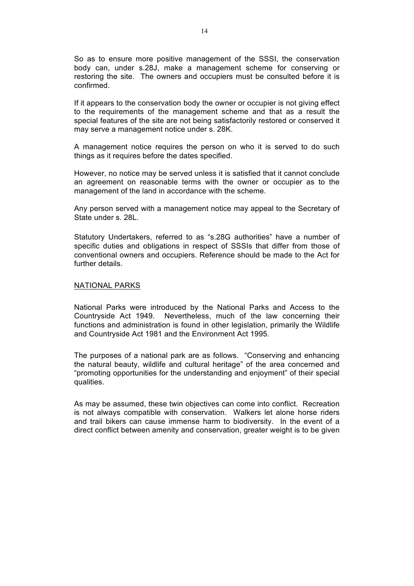So as to ensure more positive management of the SSSI, the conservation body can, under s.28J, make a management scheme for conserving or restoring the site. The owners and occupiers must be consulted before it is confirmed.

If it appears to the conservation body the owner or occupier is not giving effect to the requirements of the management scheme and that as a result the special features of the site are not being satisfactorily restored or conserved it may serve a management notice under s. 28K.

A management notice requires the person on who it is served to do such things as it requires before the dates specified.

However, no notice may be served unless it is satisfied that it cannot conclude an agreement on reasonable terms with the owner or occupier as to the management of the land in accordance with the scheme.

Any person served with a management notice may appeal to the Secretary of State under s. 28L.

Statutory Undertakers, referred to as "s.28G authorities" have a number of specific duties and obligations in respect of SSSIs that differ from those of conventional owners and occupiers. Reference should be made to the Act for further details.

#### NATIONAL PARKS

National Parks were introduced by the National Parks and Access to the Countryside Act 1949. Nevertheless, much of the law concerning their functions and administration is found in other legislation, primarily the Wildlife and Countryside Act 1981 and the Environment Act 1995.

The purposes of a national park are as follows. "Conserving and enhancing the natural beauty, wildlife and cultural heritage" of the area concerned and "promoting opportunities for the understanding and enjoyment" of their special qualities.

As may be assumed, these twin objectives can come into conflict. Recreation is not always compatible with conservation. Walkers let alone horse riders and trail bikers can cause immense harm to biodiversity. In the event of a direct conflict between amenity and conservation, greater weight is to be given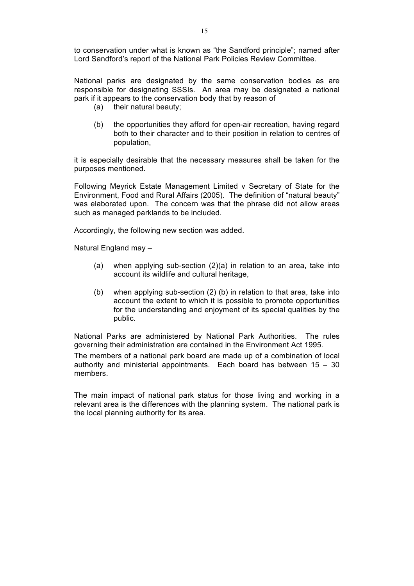National parks are designated by the same conservation bodies as are responsible for designating SSSIs. An area may be designated a national park if it appears to the conservation body that by reason of

- (a) their natural beauty;
- (b) the opportunities they afford for open-air recreation, having regard both to their character and to their position in relation to centres of population,

it is especially desirable that the necessary measures shall be taken for the purposes mentioned.

Following Meyrick Estate Management Limited v Secretary of State for the Environment, Food and Rural Affairs (2005). The definition of "natural beauty" was elaborated upon. The concern was that the phrase did not allow areas such as managed parklands to be included.

Accordingly, the following new section was added.

Natural England may –

- (a) when applying sub-section  $(2)(a)$  in relation to an area, take into account its wildlife and cultural heritage,
- (b) when applying sub-section (2) (b) in relation to that area, take into account the extent to which it is possible to promote opportunities for the understanding and enjoyment of its special qualities by the public.

National Parks are administered by National Park Authorities. The rules governing their administration are contained in the Environment Act 1995.

The members of a national park board are made up of a combination of local authority and ministerial appointments. Each board has between 15 – 30 members.

The main impact of national park status for those living and working in a relevant area is the differences with the planning system. The national park is the local planning authority for its area.

Lord Sandford's report of the National Park Policies Review Committee.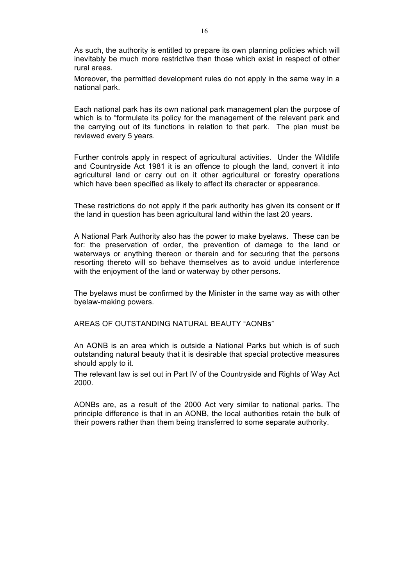As such, the authority is entitled to prepare its own planning policies which will inevitably be much more restrictive than those which exist in respect of other rural areas.

Moreover, the permitted development rules do not apply in the same way in a national park.

Each national park has its own national park management plan the purpose of which is to "formulate its policy for the management of the relevant park and the carrying out of its functions in relation to that park. The plan must be reviewed every 5 years.

Further controls apply in respect of agricultural activities. Under the Wildlife and Countryside Act 1981 it is an offence to plough the land, convert it into agricultural land or carry out on it other agricultural or forestry operations which have been specified as likely to affect its character or appearance.

These restrictions do not apply if the park authority has given its consent or if the land in question has been agricultural land within the last 20 years.

A National Park Authority also has the power to make byelaws. These can be for: the preservation of order, the prevention of damage to the land or waterways or anything thereon or therein and for securing that the persons resorting thereto will so behave themselves as to avoid undue interference with the enjoyment of the land or waterway by other persons.

The byelaws must be confirmed by the Minister in the same way as with other byelaw-making powers.

AREAS OF OUTSTANDING NATURAL BEAUTY "AONBs"

An AONB is an area which is outside a National Parks but which is of such outstanding natural beauty that it is desirable that special protective measures should apply to it.

The relevant law is set out in Part IV of the Countryside and Rights of Way Act 2000.

AONBs are, as a result of the 2000 Act very similar to national parks. The principle difference is that in an AONB, the local authorities retain the bulk of their powers rather than them being transferred to some separate authority.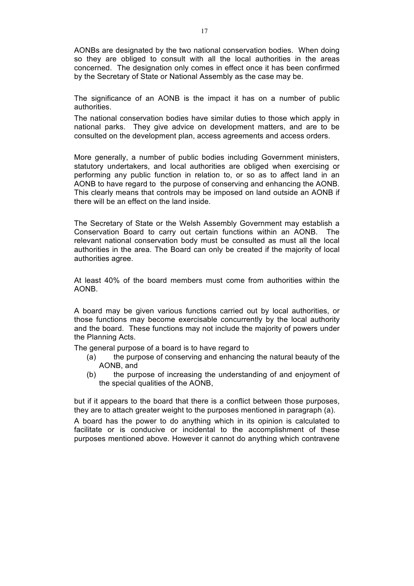AONBs are designated by the two national conservation bodies. When doing so they are obliged to consult with all the local authorities in the areas concerned. The designation only comes in effect once it has been confirmed by the Secretary of State or National Assembly as the case may be.

The significance of an AONB is the impact it has on a number of public authorities.

The national conservation bodies have similar duties to those which apply in national parks. They give advice on development matters, and are to be consulted on the development plan, access agreements and access orders.

More generally, a number of public bodies including Government ministers, statutory undertakers, and local authorities are obliged when exercising or performing any public function in relation to, or so as to affect land in an AONB to have regard to the purpose of conserving and enhancing the AONB. This clearly means that controls may be imposed on land outside an AONB if there will be an effect on the land inside.

The Secretary of State or the Welsh Assembly Government may establish a Conservation Board to carry out certain functions within an AONB. The relevant national conservation body must be consulted as must all the local authorities in the area. The Board can only be created if the majority of local authorities agree.

At least 40% of the board members must come from authorities within the AONB.

A board may be given various functions carried out by local authorities, or those functions may become exercisable concurrently by the local authority and the board. These functions may not include the majority of powers under the Planning Acts.

The general purpose of a board is to have regard to

- (a) the purpose of conserving and enhancing the natural beauty of the AONB, and
- (b) the purpose of increasing the understanding of and enjoyment of the special qualities of the AONB,

but if it appears to the board that there is a conflict between those purposes, they are to attach greater weight to the purposes mentioned in paragraph (a).

A board has the power to do anything which in its opinion is calculated to facilitate or is conducive or incidental to the accomplishment of these purposes mentioned above. However it cannot do anything which contravene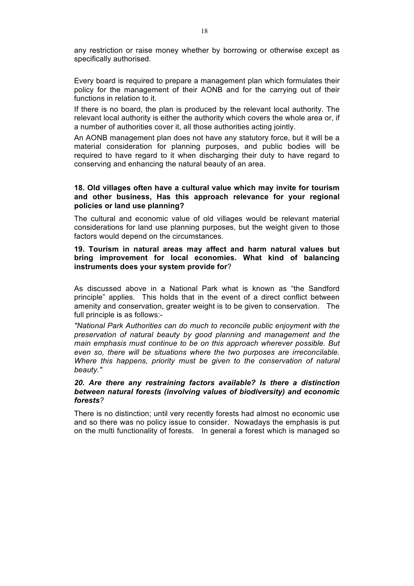any restriction or raise money whether by borrowing or otherwise except as specifically authorised.

Every board is required to prepare a management plan which formulates their policy for the management of their AONB and for the carrying out of their functions in relation to it.

If there is no board, the plan is produced by the relevant local authority. The relevant local authority is either the authority which covers the whole area or, if a number of authorities cover it, all those authorities acting jointly.

An AONB management plan does not have any statutory force, but it will be a material consideration for planning purposes, and public bodies will be required to have regard to it when discharging their duty to have regard to conserving and enhancing the natural beauty of an area.

## **18. Old villages often have a cultural value which may invite for tourism and other business, Has this approach relevance for your regional policies or land use planning?**

The cultural and economic value of old villages would be relevant material considerations for land use planning purposes, but the weight given to those factors would depend on the circumstances.

## **19. Tourism in natural areas may affect and harm natural values but bring improvement for local economies. What kind of balancing instruments does your system provide for**?

As discussed above in a National Park what is known as "the Sandford principle" applies. This holds that in the event of a direct conflict between amenity and conservation, greater weight is to be given to conservation. The full principle is as follows:-

*"National Park Authorities can do much to reconcile public enjoyment with the preservation of natural beauty by good planning and management and the main emphasis must continue to be on this approach wherever possible. But even so, there will be situations where the two purposes are irreconcilable. Where this happens, priority must be given to the conservation of natural beauty."*

### *20. Are there any restraining factors available? Is there a distinction between natural forests (involving values of biodiversity) and economic forests?*

There is no distinction; until very recently forests had almost no economic use and so there was no policy issue to consider. Nowadays the emphasis is put on the multi functionality of forests. In general a forest which is managed so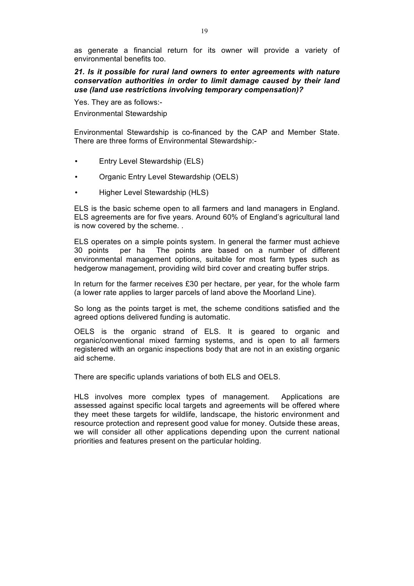as generate a financial return for its owner will provide a variety of environmental benefits too.

*21. Is it possible for rural land owners to enter agreements with nature conservation authorities in order to limit damage caused by their land use (land use restrictions involving temporary compensation)?* 

Yes. They are as follows:-

Environmental Stewardship

Environmental Stewardship is co-financed by the CAP and Member State. There are three forms of Environmental Stewardship:-

- Entry Level Stewardship (ELS)
- Organic Entry Level Stewardship (OELS)
- Higher Level Stewardship (HLS)

ELS is the basic scheme open to all farmers and land managers in England. ELS agreements are for five years. Around 60% of England's agricultural land is now covered by the scheme. .

ELS operates on a simple points system. In general the farmer must achieve 30 points per ha The points are based on a number of different environmental management options, suitable for most farm types such as hedgerow management, providing wild bird cover and creating buffer strips.

In return for the farmer receives £30 per hectare, per year, for the whole farm (a lower rate applies to larger parcels of land above the Moorland Line).

So long as the points target is met, the scheme conditions satisfied and the agreed options delivered funding is automatic.

OELS is the organic strand of ELS. It is geared to organic and organic/conventional mixed farming systems, and is open to all farmers registered with an organic inspections body that are not in an existing organic aid scheme.

There are specific uplands variations of both ELS and OELS.

HLS involves more complex types of management. Applications are assessed against specific local targets and agreements will be offered where they meet these targets for wildlife, landscape, the historic environment and resource protection and represent good value for money. Outside these areas, we will consider all other applications depending upon the current national priorities and features present on the particular holding.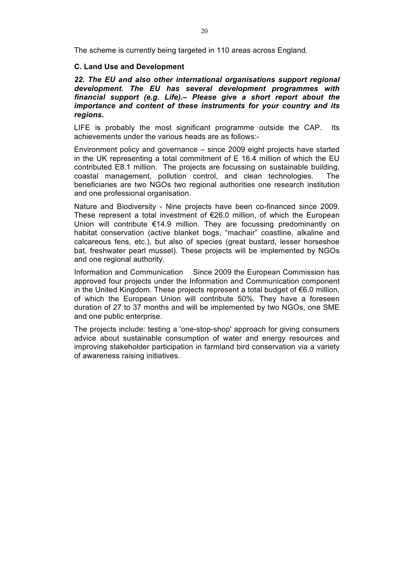The scheme is currently being targeted in 110 areas across England.

### **C. Land Use and Development**

*22. The EU and also other international organisations support regional development. The EU has several development programmes with financial support (e.g. Life).– Please give a short report about the importance and content of these instruments for your country and its regions.*

LIFE is probably the most significant programme outside the CAP. Its achievements under the various heads are as follows:-

Environment policy and governance – since 2009 eight projects have started in the UK representing a total commitment of E 16.4 million of which the EU contributed E8.1 million. The projects are focussing on sustainable building, coastal management, pollution control, and clean technologies. The beneficiaries are two NGOs two regional authorities one research institution and one professional organisation.

Nature and Biodiversity - Nine projects have been co-financed since 2009. These represent a total investment of  $E$ 26.0 million, of which the European Union will contribute €14.9 million. They are focussing predominantly on habitat conservation (active blanket bogs, "machair" coastline, alkaline and calcareous fens, etc.), but also of species (great bustard, lesser horseshoe bat, freshwater pearl mussel). These projects will be implemented by NGOs and one regional authority.

Information and Communication Since 2009 the European Commission has approved four projects under the Information and Communication component in the United Kingdom. These projects represent a total budget of €6.0 million, of which the European Union will contribute 50%. They have a foreseen duration of 27 to 37 months and will be implemented by two NGOs, one SME and one public enterprise.

The projects include: testing a 'one-stop-shop' approach for giving consumers advice about sustainable consumption of water and energy resources and improving stakeholder participation in farmland bird conservation via a variety of awareness raising initiatives.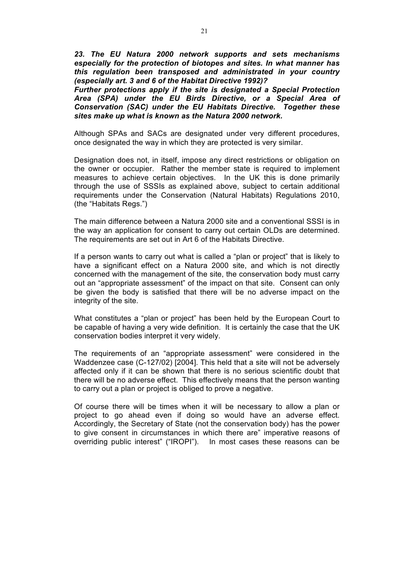*23. The EU Natura 2000 network supports and sets mechanisms especially for the protection of biotopes and sites. In what manner has this regulation been transposed and administrated in your country (especially art. 3 and 6 of the Habitat Directive 1992)?*

*Further protections apply if the site is designated a Special Protection Area (SPA) under the EU Birds Directive, or a Special Area of Conservation (SAC) under the EU Habitats Directive. Together these sites make up what is known as the Natura 2000 network.* 

Although SPAs and SACs are designated under very different procedures, once designated the way in which they are protected is very similar.

Designation does not, in itself, impose any direct restrictions or obligation on the owner or occupier. Rather the member state is required to implement measures to achieve certain objectives. In the UK this is done primarily through the use of SSSIs as explained above, subject to certain additional requirements under the Conservation (Natural Habitats) Regulations 2010, (the "Habitats Regs.")

The main difference between a Natura 2000 site and a conventional SSSI is in the way an application for consent to carry out certain OLDs are determined. The requirements are set out in Art 6 of the Habitats Directive.

If a person wants to carry out what is called a "plan or project" that is likely to have a significant effect on a Natura 2000 site, and which is not directly concerned with the management of the site, the conservation body must carry out an "appropriate assessment" of the impact on that site. Consent can only be given the body is satisfied that there will be no adverse impact on the integrity of the site.

What constitutes a "plan or project" has been held by the European Court to be capable of having a very wide definition. It is certainly the case that the UK conservation bodies interpret it very widely.

The requirements of an "appropriate assessment" were considered in the Waddenzee case (C-127/02) [2004]. This held that a site will not be adversely affected only if it can be shown that there is no serious scientific doubt that there will be no adverse effect. This effectively means that the person wanting to carry out a plan or project is obliged to prove a negative.

Of course there will be times when it will be necessary to allow a plan or project to go ahead even if doing so would have an adverse effect. Accordingly, the Secretary of State (not the conservation body) has the power to give consent in circumstances in which there are" imperative reasons of overriding public interest" ("IROPI"). In most cases these reasons can be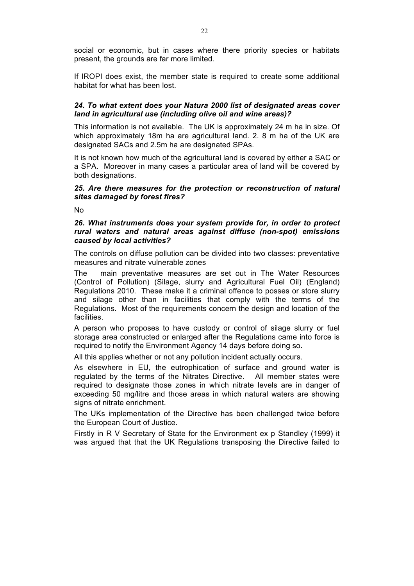social or economic, but in cases where there priority species or habitats present, the grounds are far more limited.

If IROPI does exist, the member state is required to create some additional habitat for what has been lost.

### *24. To what extent does your Natura 2000 list of designated areas cover land in agricultural use (including olive oil and wine areas)?*

This information is not available. The UK is approximately 24 m ha in size. Of which approximately 18m ha are agricultural land. 2. 8 m ha of the UK are designated SACs and 2.5m ha are designated SPAs.

It is not known how much of the agricultural land is covered by either a SAC or a SPA. Moreover in many cases a particular area of land will be covered by both designations.

## *25. Are there measures for the protection or reconstruction of natural sites damaged by forest fires?*

No

### *26. What instruments does your system provide for, in order to protect rural waters and natural areas against diffuse (non-spot) emissions caused by local activities?*

The controls on diffuse pollution can be divided into two classes: preventative measures and nitrate vulnerable zones

The main preventative measures are set out in The Water Resources (Control of Pollution) (Silage, slurry and Agricultural Fuel Oil) (England) Regulations 2010. These make it a criminal offence to posses or store slurry and silage other than in facilities that comply with the terms of the Regulations. Most of the requirements concern the design and location of the facilities.

A person who proposes to have custody or control of silage slurry or fuel storage area constructed or enlarged after the Regulations came into force is required to notify the Environment Agency 14 days before doing so.

All this applies whether or not any pollution incident actually occurs.

As elsewhere in EU, the eutrophication of surface and ground water is regulated by the terms of the Nitrates Directive. All member states were required to designate those zones in which nitrate levels are in danger of exceeding 50 mg/litre and those areas in which natural waters are showing signs of nitrate enrichment.

The UKs implementation of the Directive has been challenged twice before the European Court of Justice.

Firstly in R V Secretary of State for the Environment ex p Standley (1999) it was argued that that the UK Regulations transposing the Directive failed to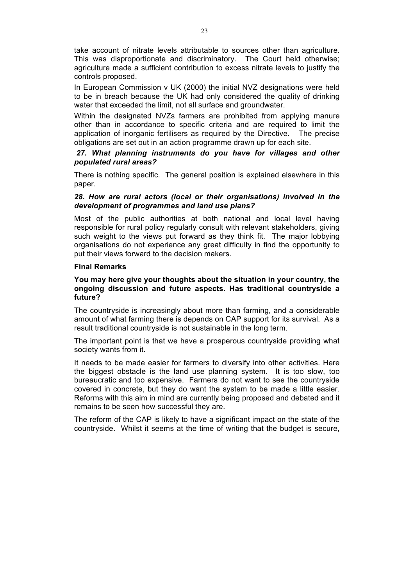take account of nitrate levels attributable to sources other than agriculture. This was disproportionate and discriminatory. The Court held otherwise; agriculture made a sufficient contribution to excess nitrate levels to justify the controls proposed.

In European Commission v UK (2000) the initial NVZ designations were held to be in breach because the UK had only considered the quality of drinking water that exceeded the limit, not all surface and groundwater.

Within the designated NVZs farmers are prohibited from applying manure other than in accordance to specific criteria and are required to limit the application of inorganic fertilisers as required by the Directive. The precise obligations are set out in an action programme drawn up for each site.

# *27. What planning instruments do you have for villages and other populated rural areas?*

There is nothing specific. The general position is explained elsewhere in this paper.

## *28. How are rural actors (local or their organisations) involved in the development of programmes and land use plans?*

Most of the public authorities at both national and local level having responsible for rural policy regularly consult with relevant stakeholders, giving such weight to the views put forward as they think fit. The major lobbying organisations do not experience any great difficulty in find the opportunity to put their views forward to the decision makers.

### **Final Remarks**

## **You may here give your thoughts about the situation in your country, the ongoing discussion and future aspects. Has traditional countryside a future?**

The countryside is increasingly about more than farming, and a considerable amount of what farming there is depends on CAP support for its survival. As a result traditional countryside is not sustainable in the long term.

The important point is that we have a prosperous countryside providing what society wants from it.

It needs to be made easier for farmers to diversify into other activities. Here the biggest obstacle is the land use planning system. It is too slow, too bureaucratic and too expensive. Farmers do not want to see the countryside covered in concrete, but they do want the system to be made a little easier. Reforms with this aim in mind are currently being proposed and debated and it remains to be seen how successful they are.

The reform of the CAP is likely to have a significant impact on the state of the countryside. Whilst it seems at the time of writing that the budget is secure,